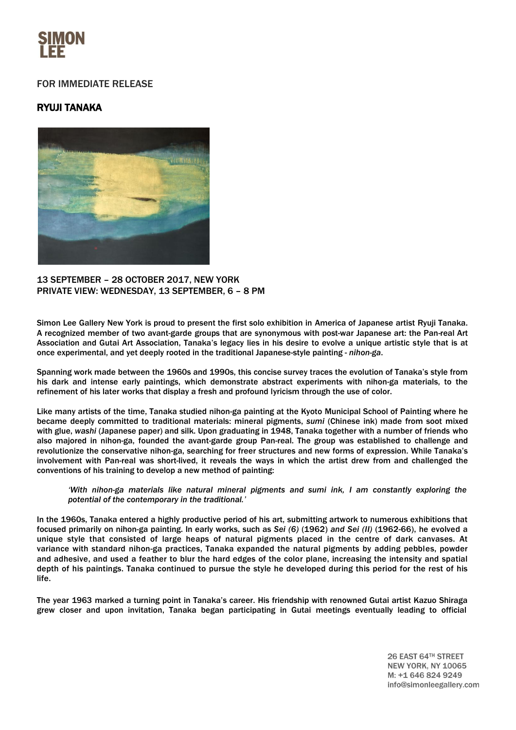

## FOR IMMEDIATE RELEASE

## RYUJI TANAKA



13 SEPTEMBER – 28 OCTOBER 2017, NEW YORK PRIVATE VIEW: WEDNESDAY, 13 SEPTEMBER, 6 – 8 PM

Simon Lee Gallery New York is proud to present the first solo exhibition in America of Japanese artist Ryuji Tanaka. A recognized member of two avant-garde groups that are synonymous with post-war Japanese art: the Pan-real Art Association and Gutai Art Association, Tanaka's legacy lies in his desire to evolve a unique artistic style that is at once experimental, and yet deeply rooted in the traditional Japanese-style painting - *nihon-ga*.

Spanning work made between the 1960s and 1990s, this concise survey traces the evolution of Tanaka's style from his dark and intense early paintings, which demonstrate abstract experiments with nihon-ga materials, to the refinement of his later works that display a fresh and profound lyricism through the use of color.

Like many artists of the time, Tanaka studied nihon-ga painting at the Kyoto Municipal School of Painting where he became deeply committed to traditional materials: mineral pigments, *sumi* (Chinese ink) made from soot mixed with glue, *washi* (Japanese paper) and silk. Upon graduating in 1948, Tanaka together with a number of friends who also majored in nihon-ga, founded the avant-garde group Pan-real. The group was established to challenge and revolutionize the conservative nihon-ga, searching for freer structures and new forms of expression. While Tanaka's involvement with Pan-real was short-lived, it reveals the ways in which the artist drew from and challenged the conventions of his training to develop a new method of painting:

*'With nihon-ga materials like natural mineral pigments and sumi ink, I am constantly exploring the potential of the contemporary in the traditional.'*

In the 1960s, Tanaka entered a highly productive period of his art, submitting artwork to numerous exhibitions that focused primarily on nihon-ga painting. In early works, such as *Sei (6)* (1962) *and Sei (II)* (1962-66), he evolved a unique style that consisted of large heaps of natural pigments placed in the centre of dark canvases. At variance with standard nihon-ga practices, Tanaka expanded the natural pigments by adding pebbles, powder and adhesive, and used a feather to blur the hard edges of the color plane, increasing the intensity and spatial depth of his paintings. Tanaka continued to pursue the style he developed during this period for the rest of his life.

The year 1963 marked a turning point in Tanaka's career. His friendship with renowned Gutai artist Kazuo Shiraga grew closer and upon invitation, Tanaka began participating in Gutai meetings eventually leading to official

> 26 EAST 64TH STREET **NEW YORK, NY 10065** M: +1 646 824 9249 info@simonleegallery.com